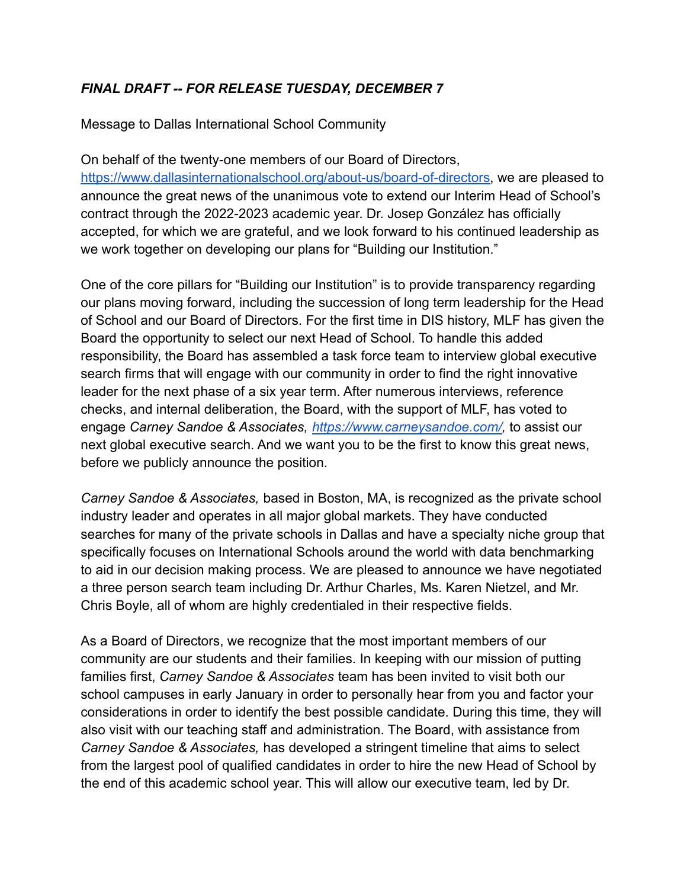## *FINAL DRAFT -- FOR RELEASE TUESDAY, DECEMBER 7*

Message to Dallas International School Community

On behalf of the twenty-one members of our Board of Directors, [https://www.dallasinternationalschool.org/about-us/board-of-directors,](https://www.dallasinternationalschool.org/about-us/board-of-directors) we are pleased to announce the great news of the unanimous vote to extend our Interim Head of School's contract through the 2022-2023 academic year. Dr. Josep González has officially accepted, for which we are grateful, and we look forward to his continued leadership as we work together on developing our plans for "Building our Institution."

One of the core pillars for "Building our Institution" is to provide transparency regarding our plans moving forward, including the succession of long term leadership for the Head of School and our Board of Directors. For the first time in DIS history, MLF has given the Board the opportunity to select our next Head of School. To handle this added responsibility, the Board has assembled a task force team to interview global executive search firms that will engage with our community in order to find the right innovative leader for the next phase of a six year term. After numerous interviews, reference checks, and internal deliberation, the Board, with the support of MLF, has voted to engage *Carney Sandoe & Associates, [https://www.carneysandoe.com/,](https://www.carneysandoe.com/)* to assist our next global executive search. And we want you to be the first to know this great news, before we publicly announce the position.

*Carney Sandoe & Associates,* based in Boston, MA, is recognized as the private school industry leader and operates in all major global markets. They have conducted searches for many of the private schools in Dallas and have a specialty niche group that specifically focuses on International Schools around the world with data benchmarking to aid in our decision making process. We are pleased to announce we have negotiated a three person search team including Dr. Arthur Charles, Ms. Karen Nietzel, and Mr. Chris Boyle, all of whom are highly credentialed in their respective fields.

As a Board of Directors, we recognize that the most important members of our community are our students and their families. In keeping with our mission of putting families first, *Carney Sandoe & Associates* team has been invited to visit both our school campuses in early January in order to personally hear from you and factor your considerations in order to identify the best possible candidate. During this time, they will also visit with our teaching staff and administration. The Board, with assistance from *Carney Sandoe & Associates,* has developed a stringent timeline that aims to select from the largest pool of qualified candidates in order to hire the new Head of School by the end of this academic school year. This will allow our executive team, led by Dr.